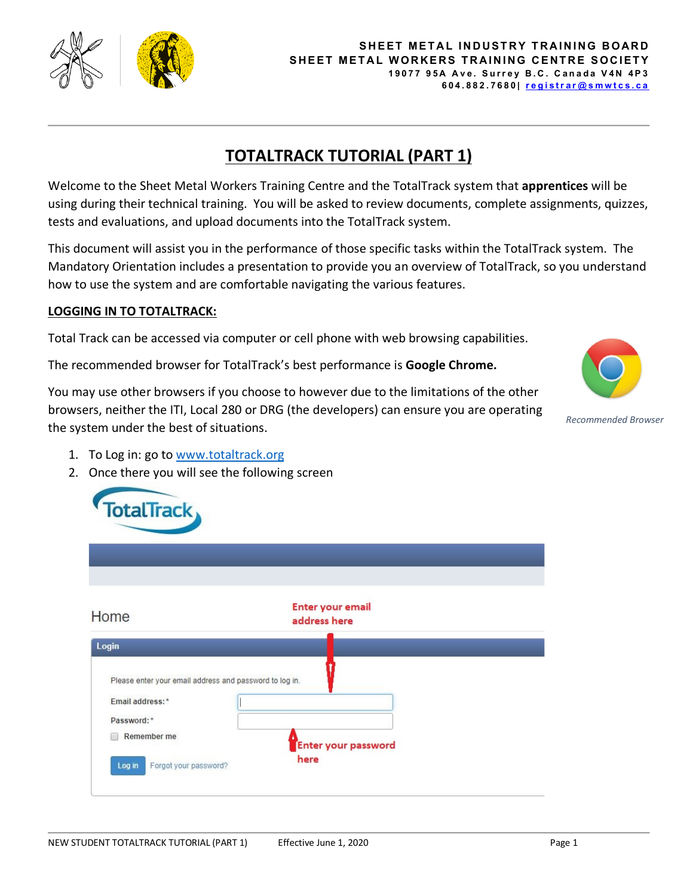

## **TOTALTRACK TUTORIAL (PART 1)**

Welcome to the Sheet Metal Workers Training Centre and the TotalTrack system that **apprentices** will be using during their technical training. You will be asked to review documents, complete assignments, quizzes, tests and evaluations, and upload documents into the TotalTrack system.

This document will assist you in the performance of those specific tasks within the TotalTrack system. The Mandatory Orientation includes a presentation to provide you an overview of TotalTrack, so you understand how to use the system and are comfortable navigating the various features.

## **LOGGING IN TO TOTALTRACK:**

Total Track can be accessed via computer or cell phone with web browsing capabilities.

The recommended browser for TotalTrack's best performance is **Google Chrome.** 

You may use other browsers if you choose to however due to the limitations of the other browsers, neither the ITI, Local 280 or DRG (the developers) can ensure you are operating the system under the best of situations.



*Recommended Browser*

- 1. To Log in: go to [www.totaltrack.org](http://www.totaltrack.org/)
- 2. Once there you will see the following screen

| Home                                                    | <b>Enter your email</b><br>address here |  |
|---------------------------------------------------------|-----------------------------------------|--|
| Login                                                   |                                         |  |
| Please enter your email address and password to log in. |                                         |  |
| Email address:*                                         |                                         |  |
| Password:*                                              |                                         |  |
| Remember me                                             | Enter your password                     |  |
|                                                         | here                                    |  |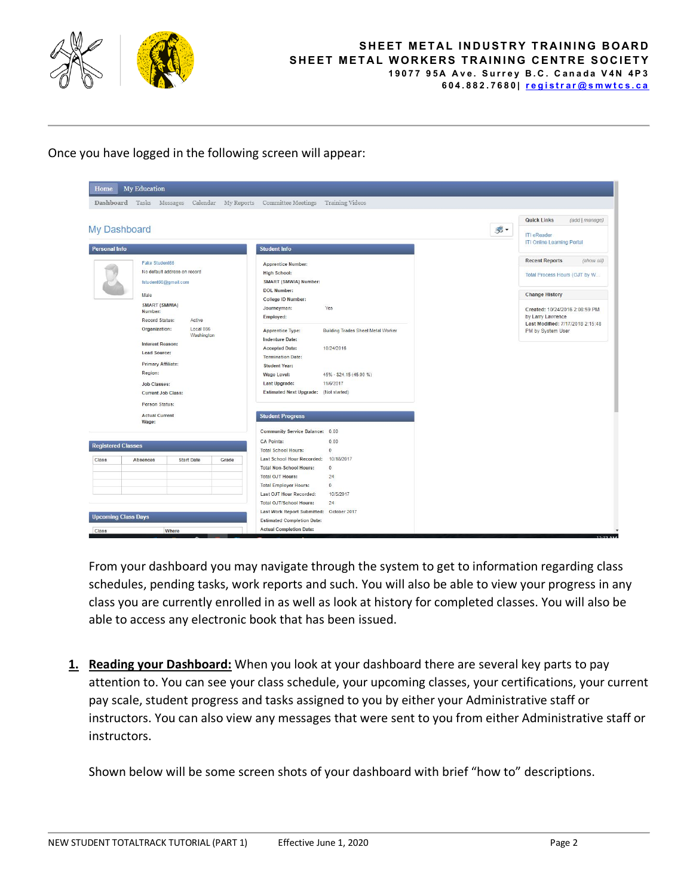

## **[SHEET METAL INDUSTRY TRAINING BOARD](http://smwtcs.ca/) SHEET METAL WORKERS TRAINING CENTRE SOCIETY 19077 95A Ave. Surrey B.C. Canada V4N 4P3 604.882.7680| [registrar@smwtcs.ca](mailto:registrar@smwtcs.ca)**

Once you have logged in the following screen will appear:



From your dashboard you may navigate through the system to get to information regarding class schedules, pending tasks, work reports and such. You will also be able to view your progress in any class you are currently enrolled in as well as look at history for completed classes. You will also be able to access any electronic book that has been issued.

**1. Reading your Dashboard:** When you look at your dashboard there are several key parts to pay attention to. You can see your class schedule, your upcoming classes, your certifications, your current pay scale, student progress and tasks assigned to you by either your Administrative staff or instructors. You can also view any messages that were sent to you from either Administrative staff or instructors.

Shown below will be some screen shots of your dashboard with brief "how to" descriptions.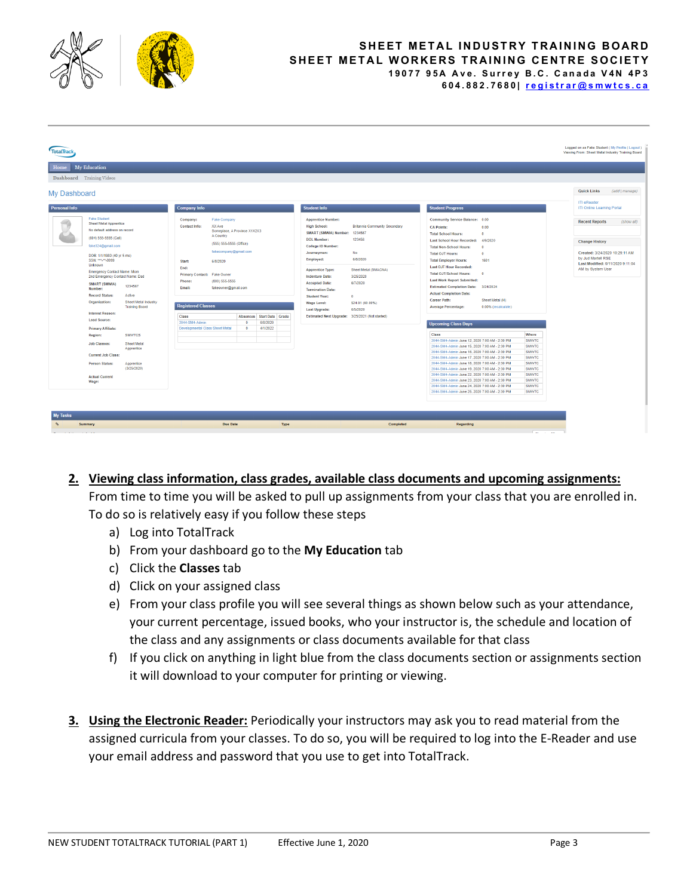

## **[SHEET METAL INDUSTRY TRAINING BOARD](http://smwtcs.ca/) SHEET METAL WORKERS TRAINING CENTRE SOCIETY 19077 95A Ave. Surrey B.C. Canada V4N 4P3 604.882.7680| [registrar@smwtcs.ca](mailto:registrar@smwtcs.ca)**

| Logged on as Fake Student (My Profile   Logout )<br><b>TotalTrack</b><br>Viewing From: Sheet Metal Industry Training Board |                                                                                                                                                                                                                                                                                                                                                                                                                                                                                                                                                                                                                                                  |                                                      |                                                                                                                                                                                                                                                                   |                                                                                                                                                                                                |                                          |                                                                                                                                                                                                                                                                                                                                                                                                              |                                                                                                                                                                |                                            |                                                                                                                                                                                                                                                                                                                                                                                                                                                                                                                                                                                                                                                                                                                                                                                                                                                                                                                                                                                                |                                                                                                             |                                                                                                                                                                |        |                                                                                                                                                                                                                                    |                              |
|----------------------------------------------------------------------------------------------------------------------------|--------------------------------------------------------------------------------------------------------------------------------------------------------------------------------------------------------------------------------------------------------------------------------------------------------------------------------------------------------------------------------------------------------------------------------------------------------------------------------------------------------------------------------------------------------------------------------------------------------------------------------------------------|------------------------------------------------------|-------------------------------------------------------------------------------------------------------------------------------------------------------------------------------------------------------------------------------------------------------------------|------------------------------------------------------------------------------------------------------------------------------------------------------------------------------------------------|------------------------------------------|--------------------------------------------------------------------------------------------------------------------------------------------------------------------------------------------------------------------------------------------------------------------------------------------------------------------------------------------------------------------------------------------------------------|----------------------------------------------------------------------------------------------------------------------------------------------------------------|--------------------------------------------|------------------------------------------------------------------------------------------------------------------------------------------------------------------------------------------------------------------------------------------------------------------------------------------------------------------------------------------------------------------------------------------------------------------------------------------------------------------------------------------------------------------------------------------------------------------------------------------------------------------------------------------------------------------------------------------------------------------------------------------------------------------------------------------------------------------------------------------------------------------------------------------------------------------------------------------------------------------------------------------------|-------------------------------------------------------------------------------------------------------------|----------------------------------------------------------------------------------------------------------------------------------------------------------------|--------|------------------------------------------------------------------------------------------------------------------------------------------------------------------------------------------------------------------------------------|------------------------------|
| My Education<br>Home                                                                                                       |                                                                                                                                                                                                                                                                                                                                                                                                                                                                                                                                                                                                                                                  |                                                      |                                                                                                                                                                                                                                                                   |                                                                                                                                                                                                |                                          |                                                                                                                                                                                                                                                                                                                                                                                                              |                                                                                                                                                                |                                            |                                                                                                                                                                                                                                                                                                                                                                                                                                                                                                                                                                                                                                                                                                                                                                                                                                                                                                                                                                                                |                                                                                                             |                                                                                                                                                                |        |                                                                                                                                                                                                                                    |                              |
|                                                                                                                            | Dashboard Training Videos                                                                                                                                                                                                                                                                                                                                                                                                                                                                                                                                                                                                                        |                                                      |                                                                                                                                                                                                                                                                   |                                                                                                                                                                                                |                                          |                                                                                                                                                                                                                                                                                                                                                                                                              |                                                                                                                                                                |                                            |                                                                                                                                                                                                                                                                                                                                                                                                                                                                                                                                                                                                                                                                                                                                                                                                                                                                                                                                                                                                |                                                                                                             |                                                                                                                                                                |        |                                                                                                                                                                                                                                    |                              |
| <b>My Dashboard</b><br><b>Personal Info</b>                                                                                | <b>Fake Student</b><br>Sheet Metal Apprentice<br>No default address on record<br>(604) 555-5555 (Cell)<br>fake324@gmail.com<br>DOB: 1/1/1980 (40 yr 5 mo)<br>SSN: ***.**.9999<br>Unknown<br><b>Emergency Contact Name: Mom</b><br>2nd Emergency Contact Name: Dad<br><b>SMART (SMWIA)</b><br>1234567<br>Number:<br><b>Record Status:</b><br>Active<br>Organization:<br><b>Interest Reason:</b><br><b>Lead Source:</b><br>Primary Affiliate:<br><b>SMWTCS</b><br>Region:<br><b>Job Classes:</b><br><b>Sheet Metal</b><br>Apprentice<br><b>Current Job Class:</b><br>Person Status:<br>Apprentice<br>(3/25/2020)<br><b>Actual Current</b><br>Wage: | <b>Sheet Metal Industry</b><br><b>Training Board</b> | <b>Company Info</b><br>Company:<br>XX Ave<br><b>Contact Info:</b><br>A Country<br>Start:<br>6/8/2020<br>End:<br>Primary Contact: Fake Owner<br>Phone:<br>Email:<br><b>Registered Classes</b><br><b>Class</b><br>2044-SM4-Admin<br>Developmental Class Sheet Metal | <b>Fake Company</b><br>Someplace, A Province X1X2X3<br>(555) 555-5555 (Office)<br>fakecompany@gmail.com<br>$(800)$ 555-5555<br>fakeowner@gmail.com<br><b>Absences</b><br>$\Omega$<br>$\bullet$ | Start Date Grade<br>6/8/2020<br>4/1/2022 | <b>Student Info</b><br><b>Apprentice Number:</b><br><b>High School:</b><br>SMART (SMWIA) Number: 1234567<br><b>DOL Number:</b><br>College ID Number:<br>Journeyman:<br>Employed:<br><b>Apprentice Type:</b><br><b>Indenture Date:</b><br><b>Accepted Date:</b><br><b>Termination Date:</b><br><b>Student Year:</b><br>Wage Level:<br><b>Last Upgrade:</b><br>Estimated Next Upgrade: 3/25/2021 (Not started) | <b>Britannia Community Secondary</b><br>123456<br>No<br>6/8/2020<br>Sheet Metal (SMACNA)<br>3/25/2020<br>6/7/2020<br>$\bullet$<br>\$24.91 (60.00%)<br>6/5/2020 | <b>CA Points:</b><br>Career Path:<br>Class | <b>Student Progress</b><br>Community Service Balance: 0.00<br><b>Total School Hours:</b><br><b>Last School Hour Recorded:</b><br><b>Total Non-School Hours:</b><br><b>Total OJT Hours:</b><br><b>Total Employer Hours:</b><br><b>Last OJT Hour Recorded:</b><br><b>Total OJT/School Hours:</b><br><b>Last Work Report Submitted:</b><br>Estimated Completion Date: 3/24/2024<br><b>Actual Completion Date:</b><br><b>Average Percentage:</b><br><b>Upcoming Class Days</b><br>2044-SM4-Admin June 12, 2020 7:00 AM - 2:30 PM<br>2044-SM4-Admin June 15, 2020 7:00 AM - 2:30 PM<br>2044-SM4-Admin June 16, 2020 7:00 AM - 2:30 PM<br>2044-SM4-Admin June 17, 2020 7:00 AM - 2:30 PM<br>2044-SM4-Admin June 18, 2020 7:00 AM - 2:30 PM<br>2044-SM4-Admin June 19, 2020 7:00 AM - 2:30 PM<br>2044-SM4-Admin June 22, 2020 7:00 AM - 2:30 PM<br>2044-SM4-Admin June 23, 2020 7:00 AM - 2:30 PM<br>2044-SM4-Admin June 24, 2020 7:00 AM - 2:30 PM<br>2044-SM4-Admin June 25, 2020 7:00 AM - 2:30 PM | 0.00<br>n<br>4/9/2020<br>$\Omega$<br>$\Omega$<br>1601<br>$\theta$<br>Sheet Metal (H)<br>0.00% (recalculate) | Where<br><b>SMWTC</b><br><b>SMWTC</b><br><b>SMWTC</b><br><b>SMWTC</b><br><b>SMWTC</b><br><b>SMWTC</b><br>SMWTC<br><b>SMWTC</b><br><b>SMWTC</b><br><b>SMWTC</b> |        | <b>Quick Links</b><br>ITI eReader<br>ITI Online Learning Portal<br><b>Recent Reports</b><br><b>Change History</b><br>Created: 3/24/2020 10:29:11 AM<br>by Jud Martell RSE<br>Last Modified: 6/11/2020 9:11:04<br>AM by System User | (add   manage)<br>(show all) |
| <b>My Tasks</b>                                                                                                            |                                                                                                                                                                                                                                                                                                                                                                                                                                                                                                                                                                                                                                                  |                                                      |                                                                                                                                                                                                                                                                   |                                                                                                                                                                                                |                                          |                                                                                                                                                                                                                                                                                                                                                                                                              |                                                                                                                                                                |                                            |                                                                                                                                                                                                                                                                                                                                                                                                                                                                                                                                                                                                                                                                                                                                                                                                                                                                                                                                                                                                |                                                                                                             |                                                                                                                                                                |        |                                                                                                                                                                                                                                    |                              |
| $^{\circ}$                                                                                                                 | Summary                                                                                                                                                                                                                                                                                                                                                                                                                                                                                                                                                                                                                                          |                                                      |                                                                                                                                                                                                                                                                   | <b>Due Date</b>                                                                                                                                                                                | Type                                     |                                                                                                                                                                                                                                                                                                                                                                                                              | Completed                                                                                                                                                      |                                            | Regarding                                                                                                                                                                                                                                                                                                                                                                                                                                                                                                                                                                                                                                                                                                                                                                                                                                                                                                                                                                                      |                                                                                                             |                                                                                                                                                                |        |                                                                                                                                                                                                                                    |                              |
|                                                                                                                            |                                                                                                                                                                                                                                                                                                                                                                                                                                                                                                                                                                                                                                                  |                                                      |                                                                                                                                                                                                                                                                   |                                                                                                                                                                                                |                                          |                                                                                                                                                                                                                                                                                                                                                                                                              |                                                                                                                                                                |                                            |                                                                                                                                                                                                                                                                                                                                                                                                                                                                                                                                                                                                                                                                                                                                                                                                                                                                                                                                                                                                |                                                                                                             | $\sim$                                                                                                                                                         | $\sim$ |                                                                                                                                                                                                                                    |                              |
|                                                                                                                            |                                                                                                                                                                                                                                                                                                                                                                                                                                                                                                                                                                                                                                                  |                                                      |                                                                                                                                                                                                                                                                   |                                                                                                                                                                                                |                                          |                                                                                                                                                                                                                                                                                                                                                                                                              |                                                                                                                                                                |                                            |                                                                                                                                                                                                                                                                                                                                                                                                                                                                                                                                                                                                                                                                                                                                                                                                                                                                                                                                                                                                |                                                                                                             |                                                                                                                                                                |        |                                                                                                                                                                                                                                    |                              |

- **2. Viewing class information, class grades, available class documents and upcoming assignments:**  From time to time you will be asked to pull up assignments from your class that you are enrolled in. To do so is relatively easy if you follow these steps
	- a) Log into TotalTrack
	- b) From your dashboard go to the **My Education** tab
	- c) Click the **Classes** tab
	- d) Click on your assigned class
	- e) From your class profile you will see several things as shown below such as your attendance, your current percentage, issued books, who your instructor is, the schedule and location of the class and any assignments or class documents available for that class
	- f) If you click on anything in light blue from the class documents section or assignments section it will download to your computer for printing or viewing.
- **3. Using the Electronic Reader:** Periodically your instructors may ask you to read material from the assigned curricula from your classes. To do so, you will be required to log into the E-Reader and use your email address and password that you use to get into TotalTrack.